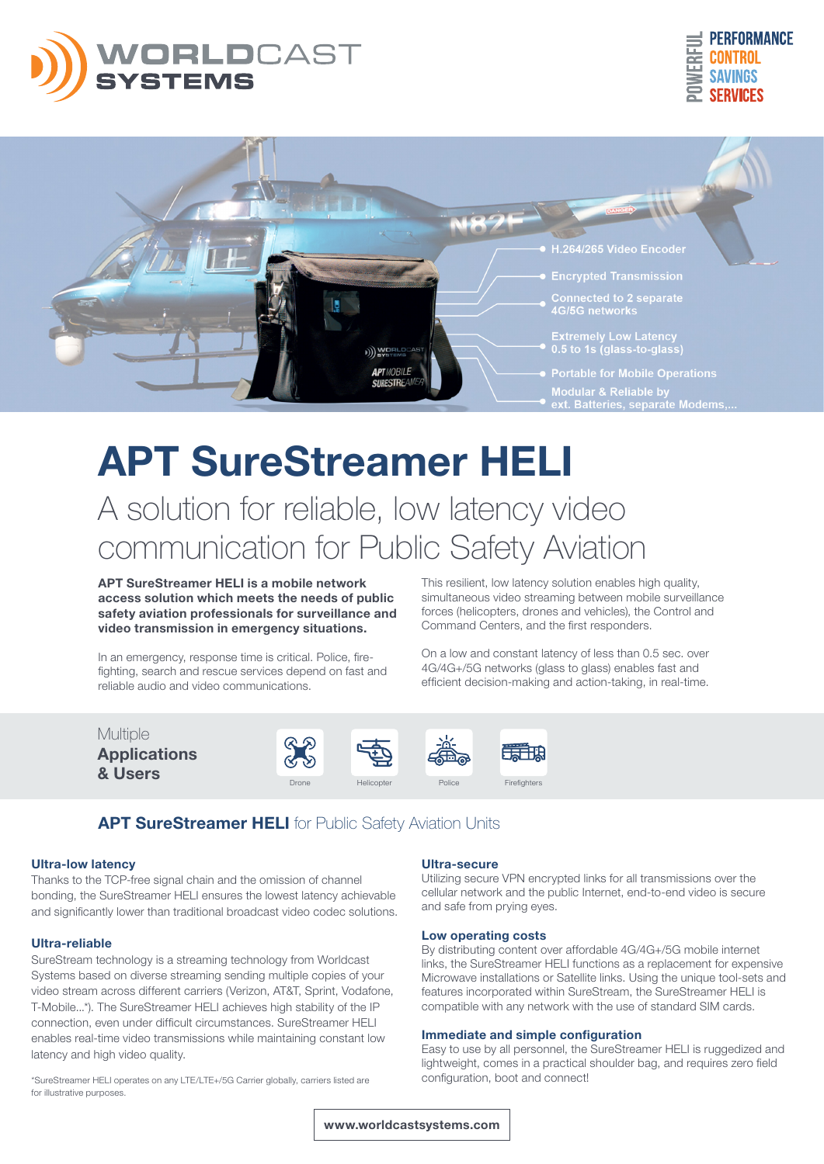





# APT SureStreamer HELI A solution for reliable, low latency video communication for Public Safety Aviation

APT SureStreamer HELI is a mobile network access solution which meets the needs of public safety aviation professionals for surveillance and video transmission in emergency situations.

In an emergency, response time is critical. Police, firefighting, search and rescue services depend on fast and reliable audio and video communications.

This resilient, low latency solution enables high quality, simultaneous video streaming between mobile surveillance forces (helicopters, drones and vehicles), the Control and Command Centers, and the first responders.

On a low and constant latency of less than 0.5 sec. over 4G/4G+/5G networks (glass to glass) enables fast and efficient decision-making and action-taking, in real-time.



### APT SureStreamer HELI for Public Safety Aviation Units

#### Ultra-low latency

Thanks to the TCP-free signal chain and the omission of channel bonding, the SureStreamer HELI ensures the lowest latency achievable and significantly lower than traditional broadcast video codec solutions.

#### Ultra-reliable

SureStream technology is a streaming technology from Worldcast Systems based on diverse streaming sending multiple copies of your video stream across different carriers (Verizon, AT&T, Sprint, Vodafone, T-Mobile...\*). The SureStreamer HELI achieves high stability of the IP connection, even under difficult circumstances. SureStreamer HELI enables real-time video transmissions while maintaining constant low latency and high video quality.

\*SureStreamer HELI operates on any LTE/LTE+/5G Carrier globally, carriers listed are for illustrative purposes.

#### Ultra-secure

Utilizing secure VPN encrypted links for all transmissions over the cellular network and the public Internet, end-to-end video is secure and safe from prying eyes.

#### Low operating costs

By distributing content over affordable 4G/4G+/5G mobile internet links, the SureStreamer HELI functions as a replacement for expensive Microwave installations or Satellite links. Using the unique tool-sets and features incorporated within SureStream, the SureStreamer HELI is compatible with any network with the use of standard SIM cards.

#### Immediate and simple configuration

Easy to use by all personnel, the SureStreamer HELI is ruggedized and lightweight, comes in a practical shoulder bag, and requires zero field configuration, boot and connect!